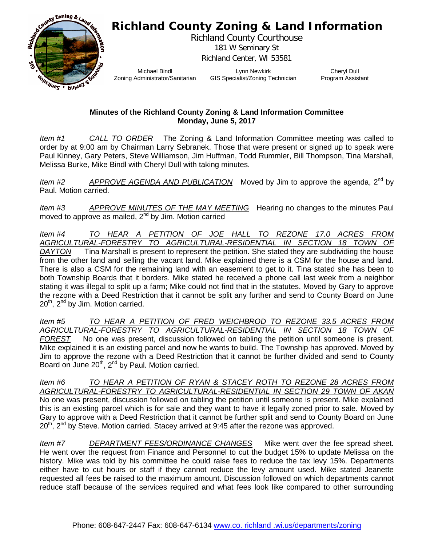## **Richland County Zoning & Land Information**



Richland County Courthouse 181 W Seminary St Richland Center, WI 53581

Michael Bindl Zoning Administrator/Sanitarian

Lynn Newkirk GIS Specialist/Zoning Technician

Cheryl Dull Program Assistant

## **Minutes of the Richland County Zoning & Land Information Committee Monday, June 5, 2017**

*Item #1 CALL TO ORDER* The Zoning & Land Information Committee meeting was called to order by at 9:00 am by Chairman Larry Sebranek. Those that were present or signed up to speak were Paul Kinney, Gary Peters, Steve Williamson, Jim Huffman, Todd Rummler, Bill Thompson, Tina Marshall, Melissa Burke, Mike Bindl with Cheryl Dull with taking minutes.

*Item #2 APPROVE AGENDA AND PUBLICATION* Moved by Jim to approve the agenda, 2nd by Paul. Motion carried.

*Item #3 APPROVE MINUTES OF THE MAY MEETING* Hearing no changes to the minutes Paul moved to approve as mailed,  $2^{nd}$  by Jim. Motion carried

*Item #4 TO HEAR A PETITION OF JOE HALL TO REZONE 17.0 ACRES FROM AGRICULTURAL-FORESTRY TO AGRICULTURAL-RESIDENTIAL IN SECTION 18 TOWN OF DAYTON* Tina Marshall is present to represent the petition. She stated they are subdividing the house from the other land and selling the vacant land. Mike explained there is a CSM for the house and land. There is also a CSM for the remaining land with an easement to get to it. Tina stated she has been to both Township Boards that it borders. Mike stated he received a phone call last week from a neighbor stating it was illegal to split up a farm; Mike could not find that in the statutes. Moved by Gary to approve the rezone with a Deed Restriction that it cannot be split any further and send to County Board on June  $20<sup>th</sup>$ ,  $2<sup>nd</sup>$  by Jim. Motion carried.

*Item #5 TO HEAR A PETITION OF FRED WEICHBROD TO REZONE 33.5 ACRES FROM AGRICULTURAL-FORESTRY TO AGRICULTURAL-RESIDENTIAL IN SECTION 18 TOWN OF FOREST* No one was present, discussion followed on tabling the petition until someone is present. Mike explained it is an existing parcel and now he wants to build. The Township has approved. Moved by Jim to approve the rezone with a Deed Restriction that it cannot be further divided and send to County Board on June  $20^{th}$ ,  $2^{nd}$  by Paul. Motion carried.

*Item #6 TO HEAR A PETITION OF RYAN & STACEY ROTH TO REZONE 28 ACRES FROM AGRICULTURAL-FORESTRY TO AGRICULTURAL-RESIDENTIAL IN SECTION 29 TOWN OF AKAN*  No one was present, discussion followed on tabling the petition until someone is present. Mike explained this is an existing parcel which is for sale and they want to have it legally zoned prior to sale. Moved by Gary to approve with a Deed Restriction that it cannot be further split and send to County Board on June  $20<sup>th</sup>$ ,  $2<sup>nd</sup>$  by Steve. Motion carried. Stacey arrived at 9:45 after the rezone was approved.

*Item #7 DEPARTMENT FEES/ORDINANCE CHANGES* Mike went over the fee spread sheet. He went over the request from Finance and Personnel to cut the budget 15% to update Melissa on the history. Mike was told by his committee he could raise fees to reduce the tax levy 15%. Departments either have to cut hours or staff if they cannot reduce the levy amount used. Mike stated Jeanette requested all fees be raised to the maximum amount. Discussion followed on which departments cannot reduce staff because of the services required and what fees look like compared to other surrounding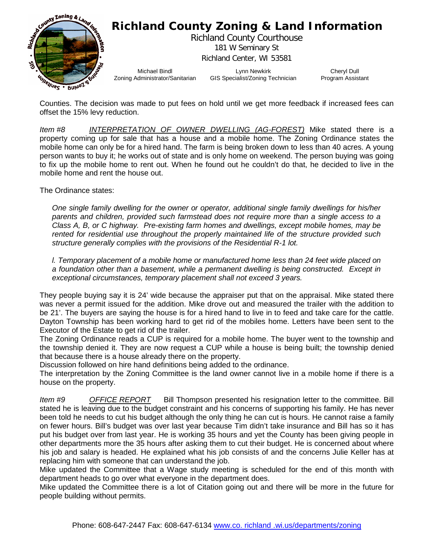

Counties. The decision was made to put fees on hold until we get more feedback if increased fees can offset the 15% levy reduction.

*Item #8 INTERPRETATION OF OWNER DWELLING (AG-FOREST)* Mike stated there is a property coming up for sale that has a house and a mobile home. The Zoning Ordinance states the mobile home can only be for a hired hand. The farm is being broken down to less than 40 acres. A young person wants to buy it; he works out of state and is only home on weekend. The person buying was going to fix up the mobile home to rent out. When he found out he couldn't do that, he decided to live in the mobile home and rent the house out.

The Ordinance states:

*One single family dwelling for the owner or operator, additional single family dwellings for his/her parents and children, provided such farmstead does not require more than a single access to a Class A, B, or C highway. Pre-existing farm homes and dwellings, except mobile homes, may be rented for residential use throughout the properly maintained life of the structure provided such structure generally complies with the provisions of the Residential R-1 lot.*

*l. Temporary placement of a mobile home or manufactured home less than 24 feet wide placed on a foundation other than a basement, while a permanent dwelling is being constructed. Except in exceptional circumstances, temporary placement shall not exceed 3 years.*

They people buying say it is 24' wide because the appraiser put that on the appraisal. Mike stated there was never a permit issued for the addition. Mike drove out and measured the trailer with the addition to be 21'. The buyers are saying the house is for a hired hand to live in to feed and take care for the cattle. Dayton Township has been working hard to get rid of the mobiles home. Letters have been sent to the Executor of the Estate to get rid of the trailer.

The Zoning Ordinance reads a CUP is required for a mobile home. The buyer went to the township and the township denied it. They are now request a CUP while a house is being built; the township denied that because there is a house already there on the property.

Discussion followed on hire hand definitions being added to the ordinance.

The interpretation by the Zoning Committee is the land owner cannot live in a mobile home if there is a house on the property.

*Item #9 OFFICE REPORT* Bill Thompson presented his resignation letter to the committee. Bill stated he is leaving due to the budget constraint and his concerns of supporting his family. He has never been told he needs to cut his budget although the only thing he can cut is hours. He cannot raise a family on fewer hours. Bill's budget was over last year because Tim didn't take insurance and Bill has so it has put his budget over from last year. He is working 35 hours and yet the County has been giving people in other departments more the 35 hours after asking them to cut their budget. He is concerned about where his job and salary is headed. He explained what his job consists of and the concerns Julie Keller has at replacing him with someone that can understand the job.

Mike updated the Committee that a Wage study meeting is scheduled for the end of this month with department heads to go over what everyone in the department does.

Mike updated the Committee there is a lot of Citation going out and there will be more in the future for people building without permits.